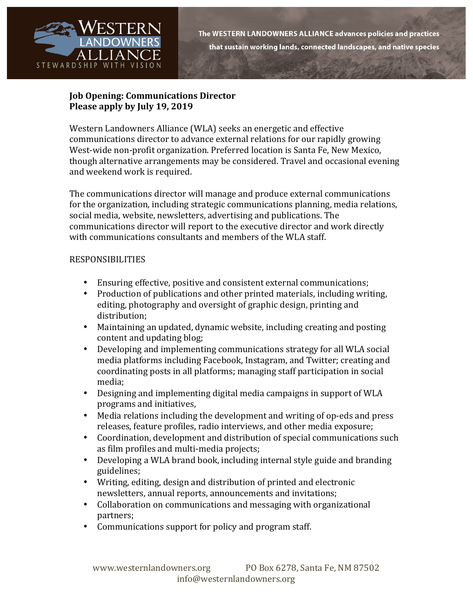

## **Job Opening: Communications Director Please apply by July 19, 2019**

Western Landowners Alliance (WLA) seeks an energetic and effective communications director to advance external relations for our rapidly growing West-wide non-profit organization. Preferred location is Santa Fe, New Mexico, though alternative arrangements may be considered. Travel and occasional evening and weekend work is required.

The communications director will manage and produce external communications for the organization, including strategic communications planning, media relations, social media, website, newsletters, advertising and publications. The communications director will report to the executive director and work directly with communications consultants and members of the WLA staff.

## RESPONSIBILITIES

- Ensuring effective, positive and consistent external communications;
- Production of publications and other printed materials, including writing. editing, photography and oversight of graphic design, printing and distribution;
- Maintaining an updated, dynamic website, including creating and posting content and updating blog;
- Developing and implementing communications strategy for all WLA social media platforms including Facebook, Instagram, and Twitter; creating and coordinating posts in all platforms; managing staff participation in social media;
- Designing and implementing digital media campaigns in support of WLA programs and initiatives,
- Media relations including the development and writing of op-eds and press releases, feature profiles, radio interviews, and other media exposure;
- Coordination, development and distribution of special communications such as film profiles and multi-media projects;
- Developing a WLA brand book, including internal style guide and branding guidelines;
- Writing, editing, design and distribution of printed and electronic newsletters, annual reports, announcements and invitations;
- Collaboration on communications and messaging with organizational partners;
- Communications support for policy and program staff.